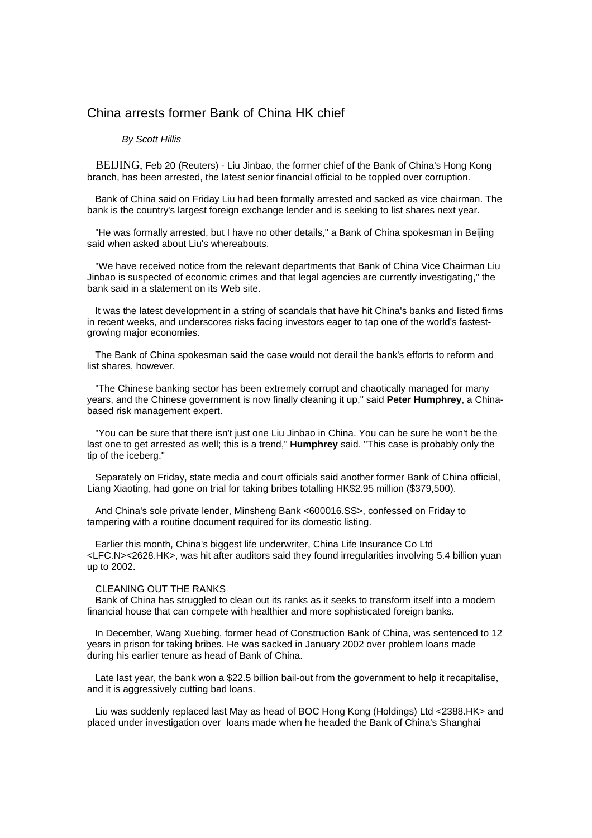## China arrests former Bank of China HK chief

## *By Scott Hillis*

 BEIJING, Feb 20 (Reuters) - Liu Jinbao, the former chief of the Bank of China's Hong Kong branch, has been arrested, the latest senior financial official to be toppled over corruption.

 Bank of China said on Friday Liu had been formally arrested and sacked as vice chairman. The bank is the country's largest foreign exchange lender and is seeking to list shares next year.

 "He was formally arrested, but I have no other details," a Bank of China spokesman in Beijing said when asked about Liu's whereabouts.

 "We have received notice from the relevant departments that Bank of China Vice Chairman Liu Jinbao is suspected of economic crimes and that legal agencies are currently investigating," the bank said in a statement on its Web site.

 It was the latest development in a string of scandals that have hit China's banks and listed firms in recent weeks, and underscores risks facing investors eager to tap one of the world's fastestgrowing major economies.

 The Bank of China spokesman said the case would not derail the bank's efforts to reform and list shares, however.

 "The Chinese banking sector has been extremely corrupt and chaotically managed for many years, and the Chinese government is now finally cleaning it up," said **Peter Humphrey**, a Chinabased risk management expert.

 "You can be sure that there isn't just one Liu Jinbao in China. You can be sure he won't be the last one to get arrested as well; this is a trend," **Humphrey** said. "This case is probably only the tip of the iceberg."

 Separately on Friday, state media and court officials said another former Bank of China official, Liang Xiaoting, had gone on trial for taking bribes totalling HK\$2.95 million (\$379,500).

 And China's sole private lender, Minsheng Bank <600016.SS>, confessed on Friday to tampering with a routine document required for its domestic listing.

 Earlier this month, China's biggest life underwriter, China Life Insurance Co Ltd <LFC.N><2628.HK>, was hit after auditors said they found irregularities involving 5.4 billion yuan up to 2002.

## CLEANING OUT THE RANKS

 Bank of China has struggled to clean out its ranks as it seeks to transform itself into a modern financial house that can compete with healthier and more sophisticated foreign banks.

 In December, Wang Xuebing, former head of Construction Bank of China, was sentenced to 12 years in prison for taking bribes. He was sacked in January 2002 over problem loans made during his earlier tenure as head of Bank of China.

 Late last year, the bank won a \$22.5 billion bail-out from the government to help it recapitalise, and it is aggressively cutting bad loans.

 Liu was suddenly replaced last May as head of BOC Hong Kong (Holdings) Ltd <2388.HK> and placed under investigation over loans made when he headed the Bank of China's Shanghai